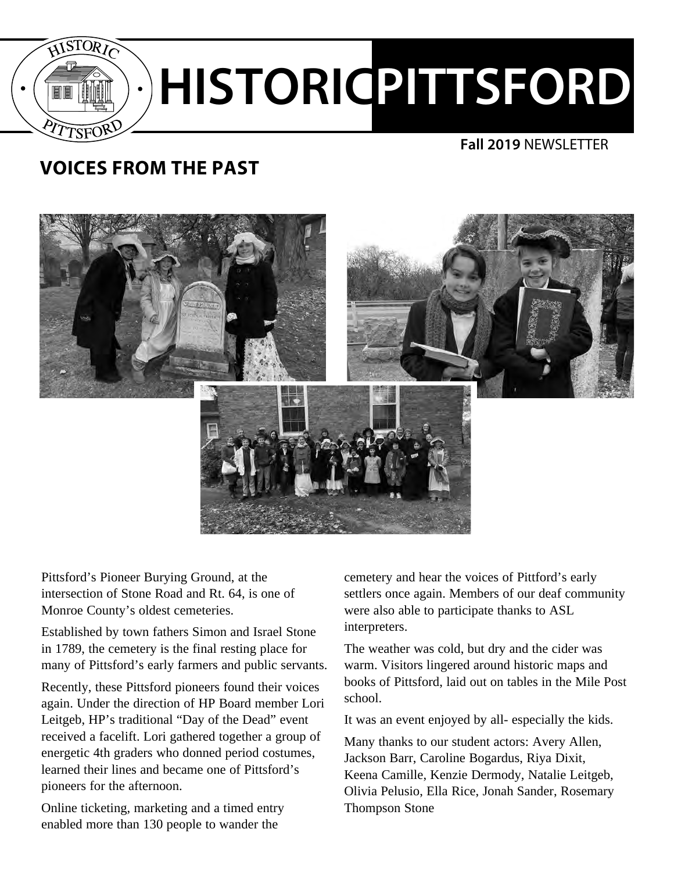

#### **VOICES FROM THE PAST**



Pittsford's Pioneer Burying Ground, at the intersection of Stone Road and Rt. 64, is one of Monroe County's oldest cemeteries.

Established by town fathers Simon and Israel Stone in 1789, the cemetery is the final resting place for many of Pittsford's early farmers and public servants.

Recently, these Pittsford pioneers found their voices again. Under the direction of HP Board member Lori Leitgeb, HP's traditional "Day of the Dead" event received a facelift. Lori gathered together a group of energetic 4th graders who donned period costumes, learned their lines and became one of Pittsford's pioneers for the afternoon.

Online ticketing, marketing and a timed entry enabled more than 130 people to wander the

cemetery and hear the voices of Pittford's early settlers once again. Members of our deaf community were also able to participate thanks to ASL interpreters.

The weather was cold, but dry and the cider was warm. Visitors lingered around historic maps and books of Pittsford, laid out on tables in the Mile Post school.

It was an event enjoyed by all- especially the kids.

Many thanks to our student actors: Avery Allen, Jackson Barr, Caroline Bogardus, Riya Dixit, Keena Camille, Kenzie Dermody, Natalie Leitgeb, Olivia Pelusio, Ella Rice, Jonah Sander, Rosemary Thompson Stone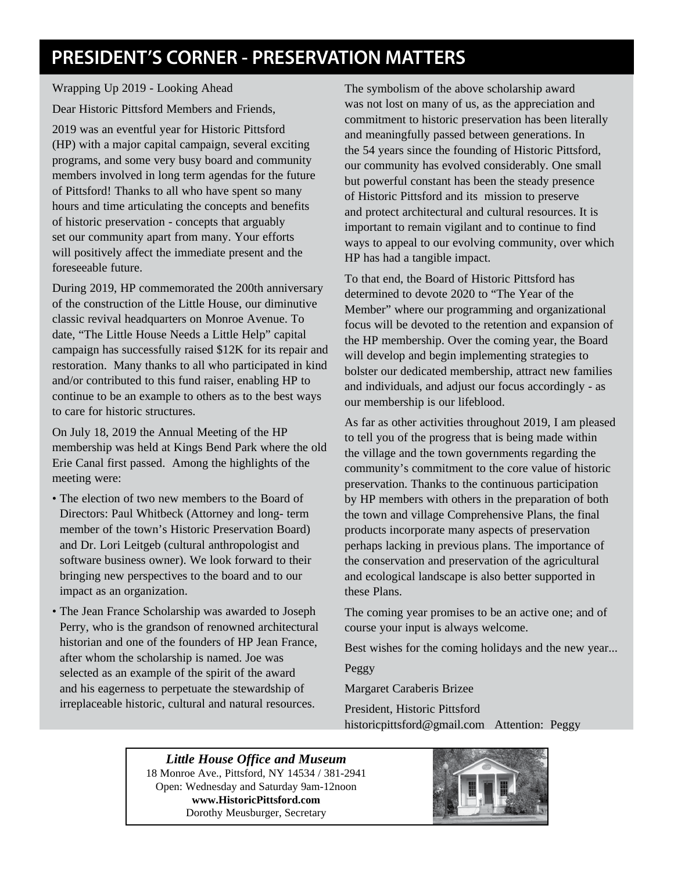#### **PRESIDENT'S CORNER - PRESERVATION MATTERS**

Wrapping Up 2019 - Looking Ahead

Dear Historic Pittsford Members and Friends,

2019 was an eventful year for Historic Pittsford (HP) with a major capital campaign, several exciting programs, and some very busy board and community members involved in long term agendas for the future of Pittsford! Thanks to all who have spent so many hours and time articulating the concepts and benefits of historic preservation - concepts that arguably set our community apart from many. Your efforts will positively affect the immediate present and the foreseeable future.

During 2019, HP commemorated the 200th anniversary of the construction of the Little House, our diminutive classic revival headquarters on Monroe Avenue. To date, "The Little House Needs a Little Help" capital campaign has successfully raised \$12K for its repair and restoration. Many thanks to all who participated in kind and/or contributed to this fund raiser, enabling HP to continue to be an example to others as to the best ways to care for historic structures.

On July 18, 2019 the Annual Meeting of the HP membership was held at Kings Bend Park where the old Erie Canal first passed. Among the highlights of the meeting were:

- The election of two new members to the Board of Directors: Paul Whitbeck (Attorney and long- term member of the town's Historic Preservation Board) and Dr. Lori Leitgeb (cultural anthropologist and software business owner). We look forward to their bringing new perspectives to the board and to our impact as an organization.
- The Jean France Scholarship was awarded to Joseph Perry, who is the grandson of renowned architectural historian and one of the founders of HP Jean France, after whom the scholarship is named. Joe was selected as an example of the spirit of the award and his eagerness to perpetuate the stewardship of irreplaceable historic, cultural and natural resources.

The symbolism of the above scholarship award was not lost on many of us, as the appreciation and commitment to historic preservation has been literally and meaningfully passed between generations. In the 54 years since the founding of Historic Pittsford, our community has evolved considerably. One small but powerful constant has been the steady presence of Historic Pittsford and its mission to preserve and protect architectural and cultural resources. It is important to remain vigilant and to continue to find ways to appeal to our evolving community, over which HP has had a tangible impact.

To that end, the Board of Historic Pittsford has determined to devote 2020 to "The Year of the Member" where our programming and organizational focus will be devoted to the retention and expansion of the HP membership. Over the coming year, the Board will develop and begin implementing strategies to bolster our dedicated membership, attract new families and individuals, and adjust our focus accordingly - as our membership is our lifeblood.

As far as other activities throughout 2019, I am pleased to tell you of the progress that is being made within the village and the town governments regarding the community's commitment to the core value of historic preservation. Thanks to the continuous participation by HP members with others in the preparation of both the town and village Comprehensive Plans, the final products incorporate many aspects of preservation perhaps lacking in previous plans. The importance of the conservation and preservation of the agricultural and ecological landscape is also better supported in these Plans.

The coming year promises to be an active one; and of course your input is always welcome.

Best wishes for the coming holidays and the new year...

Peggy

Margaret Caraberis Brizee

President, Historic Pittsford historicpittsford@gmail.com Attention: Peggy

*Little House Office and Museum* 18 Monroe Ave., Pittsford, NY 14534 / 381-2941 Open: Wednesday and Saturday 9am-12noon **www.HistoricPittsford.com** Dorothy Meusburger, Secretary

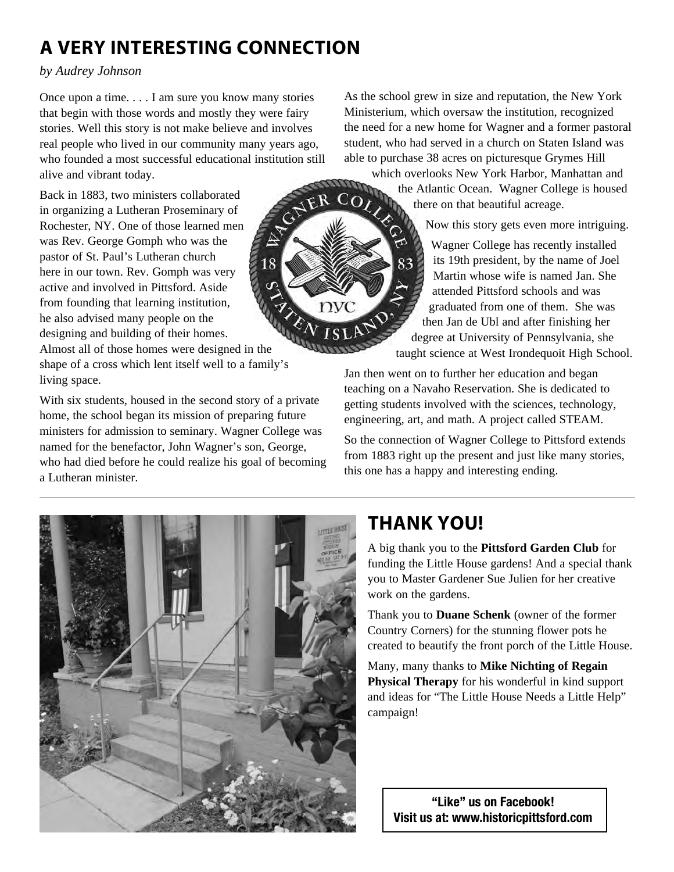# **A VERY INTERESTING CONNECTION**

*by Audrey Johnson*

Once upon a time. . . . I am sure you know many stories that begin with those words and mostly they were fairy stories. Well this story is not make believe and involves real people who lived in our community many years ago, who founded a most successful educational institution still alive and vibrant today.

Back in 1883, two ministers collaborated in organizing a Lutheran Proseminary of Rochester, NY. One of those learned men was Rev. George Gomph who was the pastor of St. Paul's Lutheran church here in our town. Rev. Gomph was very active and involved in Pittsford. Aside from founding that learning institution, he also advised many people on the designing and building of their homes.

Almost all of those homes were designed in the shape of a cross which lent itself well to a family's living space.

With six students, housed in the second story of a private home, the school began its mission of preparing future ministers for admission to seminary. Wagner College was named for the benefactor, John Wagner's son, George, who had died before he could realize his goal of becoming a Lutheran minister.

As the school grew in size and reputation, the New York Ministerium, which oversaw the institution, recognized the need for a new home for Wagner and a former pastoral student, who had served in a church on Staten Island was able to purchase 38 acres on picturesque Grymes Hill

which overlooks New York Harbor, Manhattan and<br>the Atlantic Ocean. Wagner College is housed COLLE the Atlantic Ocean. Wagner College is housed there on that beautiful acreage.

Now this story gets even more intriguing.

Wagner College has recently installed its 19th president, by the name of Joel Martin whose wife is named Jan. She attended Pittsford schools and was graduated from one of them. She was then Jan de Ubl and after finishing her degree at University of Pennsylvania, she taught science at West Irondequoit High School.

Jan then went on to further her education and began teaching on a Navaho Reservation. She is dedicated to getting students involved with the sciences, technology, engineering, art, and math. A project called STEAM.

So the connection of Wagner College to Pittsford extends from 1883 right up the present and just like many stories, this one has a happy and interesting ending.



# **THANK YOU!**

ny

A big thank you to the **Pittsford Garden Club** for funding the Little House gardens! And a special thank you to Master Gardener Sue Julien for her creative work on the gardens.

Thank you to **Duane Schenk** (owner of the former Country Corners) for the stunning flower pots he created to beautify the front porch of the Little House.

Many, many thanks to **Mike Nichting of Regain Physical Therapy** for his wonderful in kind support and ideas for "The Little House Needs a Little Help" campaign!

"Like" us on Facebook! Visit us at: www.historicpittsford.com